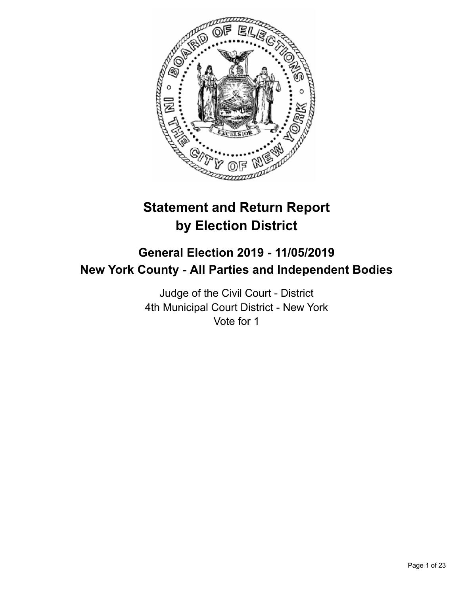

# **Statement and Return Report by Election District**

# **General Election 2019 - 11/05/2019 New York County - All Parties and Independent Bodies**

Judge of the Civil Court - District 4th Municipal Court District - New York Vote for 1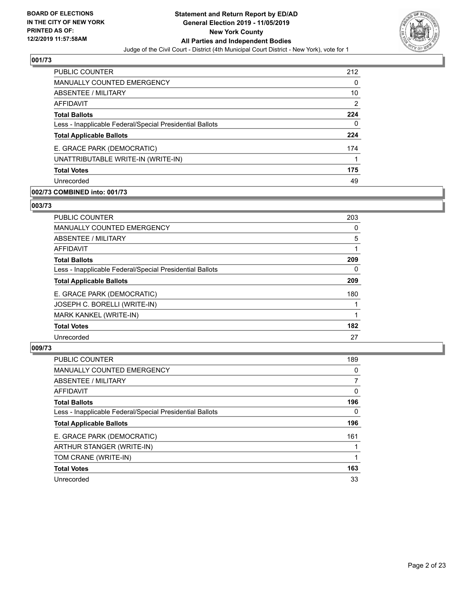

| <b>PUBLIC COUNTER</b>                                    | 212            |
|----------------------------------------------------------|----------------|
| <b>MANUALLY COUNTED EMERGENCY</b>                        | 0              |
| ABSENTEE / MILITARY                                      | 10             |
| <b>AFFIDAVIT</b>                                         | $\overline{2}$ |
| <b>Total Ballots</b>                                     | 224            |
| Less - Inapplicable Federal/Special Presidential Ballots | 0              |
| <b>Total Applicable Ballots</b>                          | 224            |
| E. GRACE PARK (DEMOCRATIC)                               | 174            |
| UNATTRIBUTABLE WRITE-IN (WRITE-IN)                       |                |
| <b>Total Votes</b>                                       | 175            |
| Unrecorded                                               | 49             |

# **002/73 COMBINED into: 001/73**

#### **003/73**

| PUBLIC COUNTER                                           | 203 |
|----------------------------------------------------------|-----|
| <b>MANUALLY COUNTED EMERGENCY</b>                        | 0   |
| ABSENTEE / MILITARY                                      | 5   |
| AFFIDAVIT                                                |     |
| <b>Total Ballots</b>                                     | 209 |
| Less - Inapplicable Federal/Special Presidential Ballots | 0   |
| <b>Total Applicable Ballots</b>                          | 209 |
| E. GRACE PARK (DEMOCRATIC)                               | 180 |
| JOSEPH C. BORELLI (WRITE-IN)                             |     |
| MARK KANKEL (WRITE-IN)                                   |     |
| <b>Total Votes</b>                                       | 182 |
| Unrecorded                                               | 27  |

| <b>PUBLIC COUNTER</b>                                    | 189      |
|----------------------------------------------------------|----------|
| <b>MANUALLY COUNTED EMERGENCY</b>                        | $\Omega$ |
| ABSENTEE / MILITARY                                      |          |
| <b>AFFIDAVIT</b>                                         | 0        |
| <b>Total Ballots</b>                                     | 196      |
| Less - Inapplicable Federal/Special Presidential Ballots | 0        |
| <b>Total Applicable Ballots</b>                          | 196      |
| E. GRACE PARK (DEMOCRATIC)                               | 161      |
| ARTHUR STANGER (WRITE-IN)                                |          |
| TOM CRANE (WRITE-IN)                                     |          |
| <b>Total Votes</b>                                       | 163      |
| Unrecorded                                               | 33       |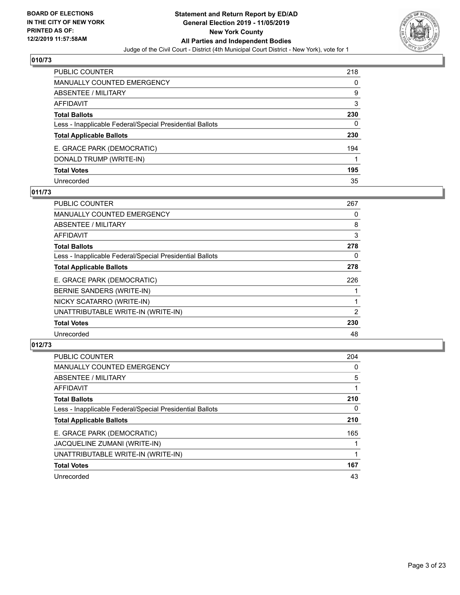

| PUBLIC COUNTER                                           | 218 |
|----------------------------------------------------------|-----|
| <b>MANUALLY COUNTED EMERGENCY</b>                        | 0   |
| ABSENTEE / MILITARY                                      | 9   |
| AFFIDAVIT                                                | 3   |
| <b>Total Ballots</b>                                     | 230 |
| Less - Inapplicable Federal/Special Presidential Ballots | 0   |
| <b>Total Applicable Ballots</b>                          | 230 |
| E. GRACE PARK (DEMOCRATIC)                               | 194 |
| DONALD TRUMP (WRITE-IN)                                  |     |
| <b>Total Votes</b>                                       | 195 |
| Unrecorded                                               | 35  |

# **011/73**

| PUBLIC COUNTER                                           | 267 |
|----------------------------------------------------------|-----|
| <b>MANUALLY COUNTED EMERGENCY</b>                        | 0   |
| ABSENTEE / MILITARY                                      | 8   |
| AFFIDAVIT                                                | 3   |
| <b>Total Ballots</b>                                     | 278 |
| Less - Inapplicable Federal/Special Presidential Ballots | 0   |
| <b>Total Applicable Ballots</b>                          | 278 |
| E. GRACE PARK (DEMOCRATIC)                               | 226 |
| BERNIE SANDERS (WRITE-IN)                                |     |
| NICKY SCATARRO (WRITE-IN)                                |     |
| UNATTRIBUTABLE WRITE-IN (WRITE-IN)                       | 2   |
| <b>Total Votes</b>                                       | 230 |
| Unrecorded                                               | 48  |

| <b>PUBLIC COUNTER</b>                                    | 204      |
|----------------------------------------------------------|----------|
| <b>MANUALLY COUNTED EMERGENCY</b>                        | $\Omega$ |
| ABSENTEE / MILITARY                                      | 5        |
| AFFIDAVIT                                                |          |
| <b>Total Ballots</b>                                     | 210      |
| Less - Inapplicable Federal/Special Presidential Ballots | 0        |
| <b>Total Applicable Ballots</b>                          | 210      |
| E. GRACE PARK (DEMOCRATIC)                               | 165      |
| JACQUELINE ZUMANI (WRITE-IN)                             |          |
| UNATTRIBUTABLE WRITE-IN (WRITE-IN)                       |          |
| <b>Total Votes</b>                                       | 167      |
| Unrecorded                                               | 43       |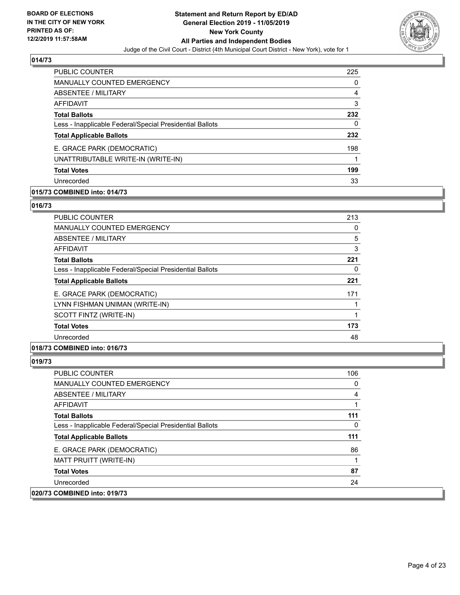

| <b>PUBLIC COUNTER</b>                                    | 225 |
|----------------------------------------------------------|-----|
| <b>MANUALLY COUNTED EMERGENCY</b>                        | 0   |
| ABSENTEE / MILITARY                                      | 4   |
| <b>AFFIDAVIT</b>                                         | 3   |
| <b>Total Ballots</b>                                     | 232 |
| Less - Inapplicable Federal/Special Presidential Ballots | 0   |
| <b>Total Applicable Ballots</b>                          | 232 |
| E. GRACE PARK (DEMOCRATIC)                               | 198 |
| UNATTRIBUTABLE WRITE-IN (WRITE-IN)                       |     |
| <b>Total Votes</b>                                       | 199 |
| Unrecorded                                               | 33  |

# **015/73 COMBINED into: 014/73**

#### **016/73**

| <b>PUBLIC COUNTER</b>                                    | 213 |
|----------------------------------------------------------|-----|
| <b>MANUALLY COUNTED EMERGENCY</b>                        | 0   |
| ABSENTEE / MILITARY                                      | 5   |
| AFFIDAVIT                                                | 3   |
| <b>Total Ballots</b>                                     | 221 |
| Less - Inapplicable Federal/Special Presidential Ballots | 0   |
| <b>Total Applicable Ballots</b>                          | 221 |
| E. GRACE PARK (DEMOCRATIC)                               | 171 |
| LYNN FISHMAN UNIMAN (WRITE-IN)                           |     |
| SCOTT FINTZ (WRITE-IN)                                   | 1   |
| <b>Total Votes</b>                                       | 173 |
| Unrecorded                                               | 48  |
|                                                          |     |

# **018/73 COMBINED into: 016/73**

| PUBLIC COUNTER                                           | 106 |
|----------------------------------------------------------|-----|
| <b>MANUALLY COUNTED EMERGENCY</b>                        | 0   |
| ABSENTEE / MILITARY                                      | 4   |
| AFFIDAVIT                                                |     |
| <b>Total Ballots</b>                                     | 111 |
| Less - Inapplicable Federal/Special Presidential Ballots | 0   |
| <b>Total Applicable Ballots</b>                          | 111 |
| E. GRACE PARK (DEMOCRATIC)                               | 86  |
| MATT PRUITT (WRITE-IN)                                   |     |
| <b>Total Votes</b>                                       | 87  |
| Unrecorded                                               | 24  |
| 020/73 COMBINED into: 019/73                             |     |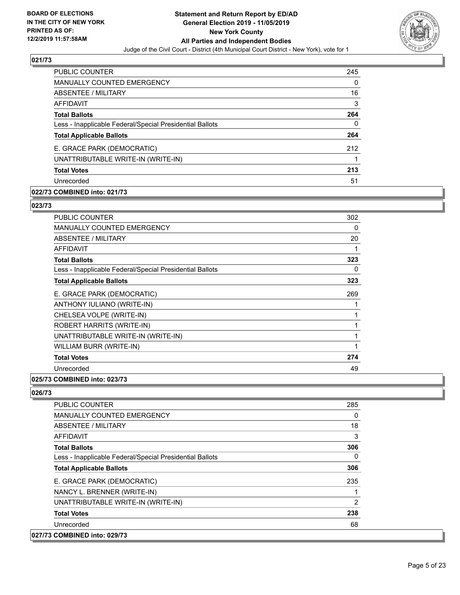

| <b>PUBLIC COUNTER</b>                                    | 245 |
|----------------------------------------------------------|-----|
| <b>MANUALLY COUNTED EMERGENCY</b>                        | 0   |
| ABSENTEE / MILITARY                                      | 16  |
| AFFIDAVIT                                                | 3   |
| <b>Total Ballots</b>                                     | 264 |
| Less - Inapplicable Federal/Special Presidential Ballots | 0   |
| <b>Total Applicable Ballots</b>                          | 264 |
| E. GRACE PARK (DEMOCRATIC)                               | 212 |
| UNATTRIBUTABLE WRITE-IN (WRITE-IN)                       |     |
| <b>Total Votes</b>                                       | 213 |
| Unrecorded                                               | 51  |

# **022/73 COMBINED into: 021/73**

#### **023/73**

| PUBLIC COUNTER                                           | 302 |
|----------------------------------------------------------|-----|
| <b>MANUALLY COUNTED EMERGENCY</b>                        | 0   |
| ABSENTEE / MILITARY                                      | 20  |
| AFFIDAVIT                                                | 1   |
| <b>Total Ballots</b>                                     | 323 |
| Less - Inapplicable Federal/Special Presidential Ballots | 0   |
| <b>Total Applicable Ballots</b>                          | 323 |
| E. GRACE PARK (DEMOCRATIC)                               | 269 |
| ANTHONY IULIANO (WRITE-IN)                               |     |
| CHELSEA VOLPE (WRITE-IN)                                 | 1   |
| <b>ROBERT HARRITS (WRITE-IN)</b>                         |     |
| UNATTRIBUTABLE WRITE-IN (WRITE-IN)                       | 1   |
| WILLIAM BURR (WRITE-IN)                                  | 1   |
| <b>Total Votes</b>                                       | 274 |
| Unrecorded                                               | 49  |
|                                                          |     |

#### **025/73 COMBINED into: 023/73**

| <b>PUBLIC COUNTER</b>                                    | 285      |
|----------------------------------------------------------|----------|
| <b>MANUALLY COUNTED EMERGENCY</b>                        | 0        |
| ABSENTEE / MILITARY                                      | 18       |
| <b>AFFIDAVIT</b>                                         | 3        |
| <b>Total Ballots</b>                                     | 306      |
| Less - Inapplicable Federal/Special Presidential Ballots | $\Omega$ |
| <b>Total Applicable Ballots</b>                          | 306      |
| E. GRACE PARK (DEMOCRATIC)                               | 235      |
| NANCY L. BRENNER (WRITE-IN)                              |          |
| UNATTRIBUTABLE WRITE-IN (WRITE-IN)                       | 2        |
| <b>Total Votes</b>                                       | 238      |
| Unrecorded                                               | 68       |
| 027/73 COMBINED into: 029/73                             |          |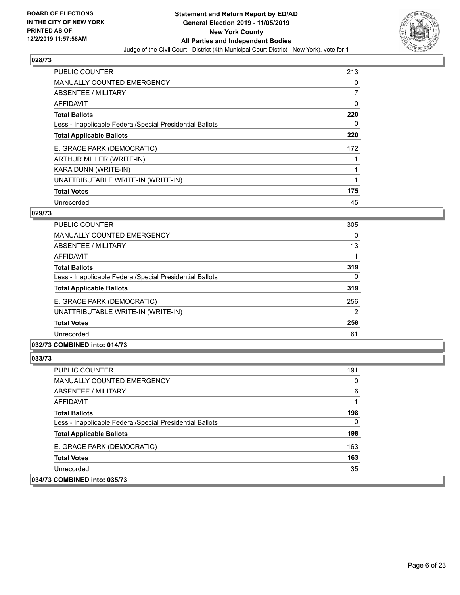

| PUBLIC COUNTER                                           | 213 |
|----------------------------------------------------------|-----|
| <b>MANUALLY COUNTED EMERGENCY</b>                        | 0   |
| ABSENTEE / MILITARY                                      | 7   |
| AFFIDAVIT                                                | 0   |
| <b>Total Ballots</b>                                     | 220 |
| Less - Inapplicable Federal/Special Presidential Ballots | 0   |
| <b>Total Applicable Ballots</b>                          | 220 |
| E. GRACE PARK (DEMOCRATIC)                               | 172 |
| ARTHUR MILLER (WRITE-IN)                                 |     |
| KARA DUNN (WRITE-IN)                                     |     |
| UNATTRIBUTABLE WRITE-IN (WRITE-IN)                       | 1   |
| <b>Total Votes</b>                                       | 175 |
| Unrecorded                                               | 45  |

# **029/73**

| <b>PUBLIC COUNTER</b>                                    | 305      |
|----------------------------------------------------------|----------|
| <b>MANUALLY COUNTED EMERGENCY</b>                        | $\Omega$ |
| ABSENTEE / MILITARY                                      | 13       |
| AFFIDAVIT                                                |          |
| <b>Total Ballots</b>                                     | 319      |
| Less - Inapplicable Federal/Special Presidential Ballots | $\Omega$ |
| <b>Total Applicable Ballots</b>                          | 319      |
| E. GRACE PARK (DEMOCRATIC)                               | 256      |
| UNATTRIBUTABLE WRITE-IN (WRITE-IN)                       | 2        |
| <b>Total Votes</b>                                       | 258      |
| Unrecorded                                               | 61       |
| .                                                        |          |

# **032/73 COMBINED into: 014/73**

| <b>PUBLIC COUNTER</b>                                    | 191      |
|----------------------------------------------------------|----------|
| <b>MANUALLY COUNTED EMERGENCY</b>                        | $\Omega$ |
| ABSENTEE / MILITARY                                      | 6        |
| AFFIDAVIT                                                |          |
| <b>Total Ballots</b>                                     | 198      |
| Less - Inapplicable Federal/Special Presidential Ballots | 0        |
| <b>Total Applicable Ballots</b>                          | 198      |
| E. GRACE PARK (DEMOCRATIC)                               | 163      |
| <b>Total Votes</b>                                       | 163      |
| Unrecorded                                               | 35       |
| 034/73 COMBINED into: 035/73                             |          |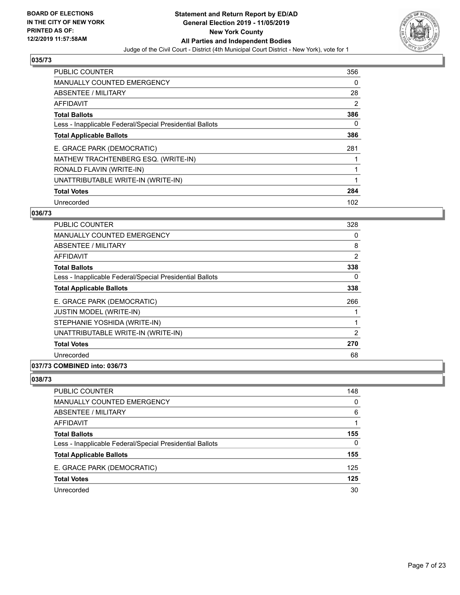

| PUBLIC COUNTER                                           | 356      |
|----------------------------------------------------------|----------|
| <b>MANUALLY COUNTED EMERGENCY</b>                        | $\Omega$ |
| ABSENTEE / MILITARY                                      | 28       |
| AFFIDAVIT                                                | 2        |
| <b>Total Ballots</b>                                     | 386      |
| Less - Inapplicable Federal/Special Presidential Ballots | 0        |
| <b>Total Applicable Ballots</b>                          | 386      |
| E. GRACE PARK (DEMOCRATIC)                               | 281      |
| MATHEW TRACHTENBERG ESQ. (WRITE-IN)                      |          |
| RONALD FLAVIN (WRITE-IN)                                 |          |
| UNATTRIBUTABLE WRITE-IN (WRITE-IN)                       | 1        |
| <b>Total Votes</b>                                       | 284      |
| Unrecorded                                               | 102      |

# **036/73**

| <b>PUBLIC COUNTER</b>                                    | 328      |
|----------------------------------------------------------|----------|
| <b>MANUALLY COUNTED EMERGENCY</b>                        | 0        |
| ABSENTEE / MILITARY                                      | 8        |
| AFFIDAVIT                                                | 2        |
| <b>Total Ballots</b>                                     | 338      |
| Less - Inapplicable Federal/Special Presidential Ballots | $\Omega$ |
| <b>Total Applicable Ballots</b>                          | 338      |
| E. GRACE PARK (DEMOCRATIC)                               | 266      |
| JUSTIN MODEL (WRITE-IN)                                  |          |
| STEPHANIE YOSHIDA (WRITE-IN)                             |          |
| UNATTRIBUTABLE WRITE-IN (WRITE-IN)                       | 2        |
| <b>Total Votes</b>                                       | 270      |
| Unrecorded                                               | 68       |
| 037/73 COMBINED into: 036/73                             |          |

| PUBLIC COUNTER                                           | 148 |
|----------------------------------------------------------|-----|
| <b>MANUALLY COUNTED EMERGENCY</b>                        | 0   |
| ABSENTEE / MILITARY                                      | 6   |
| AFFIDAVIT                                                |     |
| <b>Total Ballots</b>                                     | 155 |
| Less - Inapplicable Federal/Special Presidential Ballots | 0   |
| <b>Total Applicable Ballots</b>                          | 155 |
| E. GRACE PARK (DEMOCRATIC)                               | 125 |
| <b>Total Votes</b>                                       | 125 |
| Unrecorded                                               | 30  |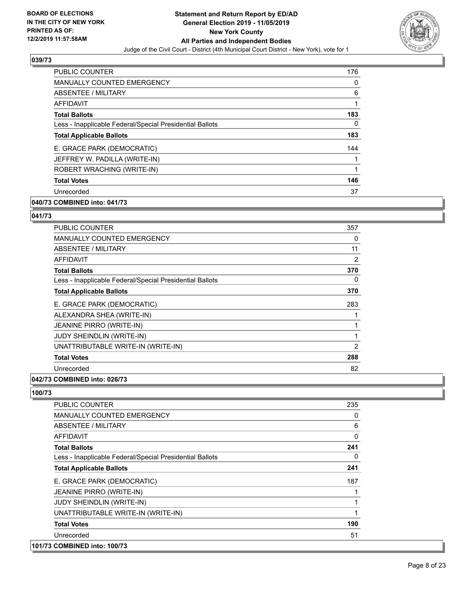

| PUBLIC COUNTER                                           | 176 |
|----------------------------------------------------------|-----|
| <b>MANUALLY COUNTED EMERGENCY</b>                        | 0   |
| ABSENTEE / MILITARY                                      | 6   |
| AFFIDAVIT                                                |     |
| <b>Total Ballots</b>                                     | 183 |
| Less - Inapplicable Federal/Special Presidential Ballots | 0   |
| <b>Total Applicable Ballots</b>                          | 183 |
| E. GRACE PARK (DEMOCRATIC)                               | 144 |
| JEFFREY W. PADILLA (WRITE-IN)                            |     |
| ROBERT WRACHING (WRITE-IN)                               | 1   |
| <b>Total Votes</b>                                       | 146 |
| Unrecorded                                               | 37  |

# **040/73 COMBINED into: 041/73**

#### **041/73**

| PUBLIC COUNTER                                           | 357            |
|----------------------------------------------------------|----------------|
| MANUALLY COUNTED EMERGENCY                               | 0              |
| ABSENTEE / MILITARY                                      | 11             |
| <b>AFFIDAVIT</b>                                         | 2              |
| <b>Total Ballots</b>                                     | 370            |
| Less - Inapplicable Federal/Special Presidential Ballots | 0              |
| <b>Total Applicable Ballots</b>                          | 370            |
| E. GRACE PARK (DEMOCRATIC)                               | 283            |
| ALEXANDRA SHEA (WRITE-IN)                                |                |
| JEANINE PIRRO (WRITE-IN)                                 | 1              |
| JUDY SHEINDLIN (WRITE-IN)                                | 1              |
| UNATTRIBUTABLE WRITE-IN (WRITE-IN)                       | $\overline{2}$ |
| <b>Total Votes</b>                                       | 288            |
| Unrecorded                                               | 82             |
|                                                          |                |

#### **042/73 COMBINED into: 026/73**

| PUBLIC COUNTER                                           | 235      |
|----------------------------------------------------------|----------|
| <b>MANUALLY COUNTED EMERGENCY</b>                        | 0        |
| ABSENTEE / MILITARY                                      | 6        |
| <b>AFFIDAVIT</b>                                         | $\Omega$ |
| <b>Total Ballots</b>                                     | 241      |
| Less - Inapplicable Federal/Special Presidential Ballots | 0        |
| <b>Total Applicable Ballots</b>                          | 241      |
| E. GRACE PARK (DEMOCRATIC)                               | 187      |
| JEANINE PIRRO (WRITE-IN)                                 |          |
| JUDY SHEINDLIN (WRITE-IN)                                |          |
| UNATTRIBUTABLE WRITE-IN (WRITE-IN)                       |          |
| <b>Total Votes</b>                                       | 190      |
| Unrecorded                                               | 51       |
| 101/73 COMBINED into: 100/73                             |          |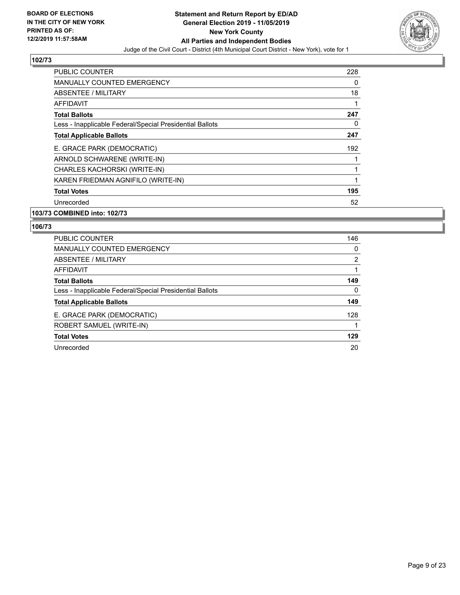

| <b>PUBLIC COUNTER</b>                                    | 228 |
|----------------------------------------------------------|-----|
| <b>MANUALLY COUNTED EMERGENCY</b>                        | 0   |
| ABSENTEE / MILITARY                                      | 18  |
| AFFIDAVIT                                                | 1   |
| <b>Total Ballots</b>                                     | 247 |
| Less - Inapplicable Federal/Special Presidential Ballots | 0   |
| <b>Total Applicable Ballots</b>                          | 247 |
| E. GRACE PARK (DEMOCRATIC)                               | 192 |
| ARNOLD SCHWARENE (WRITE-IN)                              |     |
| CHARLES KACHORSKI (WRITE-IN)                             |     |
| KAREN FRIEDMAN AGNIFILO (WRITE-IN)                       | 1   |
| <b>Total Votes</b>                                       | 195 |
| Unrecorded                                               | 52  |

#### **103/73 COMBINED into: 102/73**

| <b>PUBLIC COUNTER</b>                                    | 146            |
|----------------------------------------------------------|----------------|
| <b>MANUALLY COUNTED EMERGENCY</b>                        | $\Omega$       |
| ABSENTEE / MILITARY                                      | $\overline{2}$ |
| <b>AFFIDAVIT</b>                                         |                |
| <b>Total Ballots</b>                                     | 149            |
| Less - Inapplicable Federal/Special Presidential Ballots | $\Omega$       |
| <b>Total Applicable Ballots</b>                          | 149            |
| E. GRACE PARK (DEMOCRATIC)                               | 128            |
| ROBERT SAMUEL (WRITE-IN)                                 |                |
| <b>Total Votes</b>                                       | 129            |
| Unrecorded                                               | 20             |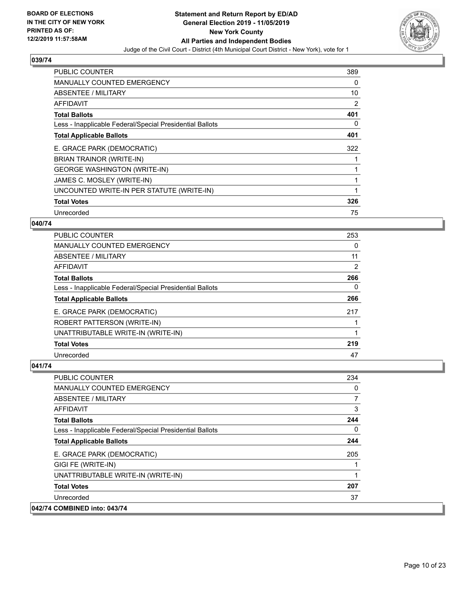

| PUBLIC COUNTER                                           | 389 |
|----------------------------------------------------------|-----|
| <b>MANUALLY COUNTED EMERGENCY</b>                        | 0   |
| ABSENTEE / MILITARY                                      | 10  |
| AFFIDAVIT                                                | 2   |
| <b>Total Ballots</b>                                     | 401 |
| Less - Inapplicable Federal/Special Presidential Ballots | 0   |
| <b>Total Applicable Ballots</b>                          | 401 |
| E. GRACE PARK (DEMOCRATIC)                               | 322 |
| BRIAN TRAINOR (WRITE-IN)                                 |     |
| <b>GEORGE WASHINGTON (WRITE-IN)</b>                      |     |
| JAMES C. MOSLEY (WRITE-IN)                               |     |
| UNCOUNTED WRITE-IN PER STATUTE (WRITE-IN)                |     |
| <b>Total Votes</b>                                       | 326 |
| Unrecorded                                               | 75  |

# **040/74**

| PUBLIC COUNTER                                           | 253 |
|----------------------------------------------------------|-----|
| <b>MANUALLY COUNTED EMERGENCY</b>                        | 0   |
| ABSENTEE / MILITARY                                      | 11  |
| <b>AFFIDAVIT</b>                                         | 2   |
| <b>Total Ballots</b>                                     | 266 |
| Less - Inapplicable Federal/Special Presidential Ballots | 0   |
| <b>Total Applicable Ballots</b>                          | 266 |
| E. GRACE PARK (DEMOCRATIC)                               | 217 |
| ROBERT PATTERSON (WRITE-IN)                              |     |
| UNATTRIBUTABLE WRITE-IN (WRITE-IN)                       |     |
| <b>Total Votes</b>                                       | 219 |
| Unrecorded                                               | 47  |

| <b>PUBLIC COUNTER</b>                                    | 234 |
|----------------------------------------------------------|-----|
| <b>MANUALLY COUNTED EMERGENCY</b>                        | 0   |
| ABSENTEE / MILITARY                                      | 7   |
| AFFIDAVIT                                                | 3   |
| <b>Total Ballots</b>                                     | 244 |
| Less - Inapplicable Federal/Special Presidential Ballots | 0   |
| <b>Total Applicable Ballots</b>                          | 244 |
| E. GRACE PARK (DEMOCRATIC)                               | 205 |
| GIGI FE (WRITE-IN)                                       |     |
| UNATTRIBUTABLE WRITE-IN (WRITE-IN)                       |     |
| <b>Total Votes</b>                                       | 207 |
| Unrecorded                                               | 37  |
| 042/74 COMBINED into: 043/74                             |     |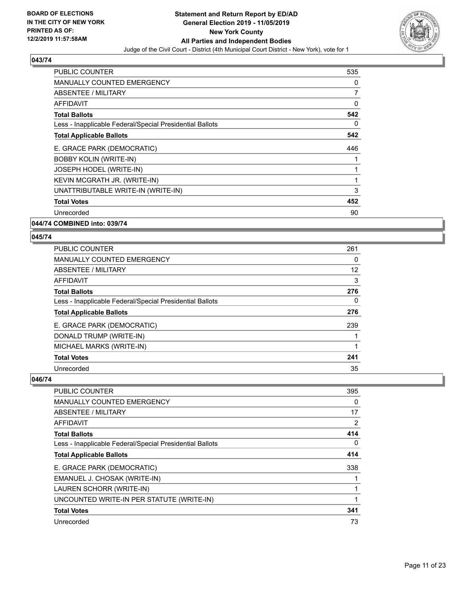

| <b>PUBLIC COUNTER</b>                                    | 535 |
|----------------------------------------------------------|-----|
| <b>MANUALLY COUNTED EMERGENCY</b>                        | 0   |
| ABSENTEE / MILITARY                                      | 7   |
| <b>AFFIDAVIT</b>                                         | 0   |
| <b>Total Ballots</b>                                     | 542 |
| Less - Inapplicable Federal/Special Presidential Ballots | 0   |
| <b>Total Applicable Ballots</b>                          | 542 |
| E. GRACE PARK (DEMOCRATIC)                               | 446 |
| <b>BOBBY KOLIN (WRITE-IN)</b>                            |     |
| JOSEPH HODEL (WRITE-IN)                                  | 1   |
| KEVIN MCGRATH JR. (WRITE-IN)                             | 1   |
| UNATTRIBUTABLE WRITE-IN (WRITE-IN)                       | 3   |
| <b>Total Votes</b>                                       | 452 |
| Unrecorded                                               | 90  |
|                                                          |     |

**044/74 COMBINED into: 039/74**

### **045/74**

| <b>PUBLIC COUNTER</b>                                    | 261 |
|----------------------------------------------------------|-----|
| MANUALLY COUNTED EMERGENCY                               | 0   |
| ABSENTEE / MILITARY                                      | 12  |
| <b>AFFIDAVIT</b>                                         | 3   |
| <b>Total Ballots</b>                                     | 276 |
| Less - Inapplicable Federal/Special Presidential Ballots | 0   |
| <b>Total Applicable Ballots</b>                          | 276 |
| E. GRACE PARK (DEMOCRATIC)                               | 239 |
| DONALD TRUMP (WRITE-IN)                                  |     |
| MICHAEL MARKS (WRITE-IN)                                 |     |
| <b>Total Votes</b>                                       | 241 |
| Unrecorded                                               | 35  |

| <b>PUBLIC COUNTER</b>                                    | 395      |
|----------------------------------------------------------|----------|
| MANUALLY COUNTED EMERGENCY                               | $\Omega$ |
| ABSENTEE / MILITARY                                      | 17       |
| AFFIDAVIT                                                | 2        |
| <b>Total Ballots</b>                                     | 414      |
| Less - Inapplicable Federal/Special Presidential Ballots | $\Omega$ |
| <b>Total Applicable Ballots</b>                          | 414      |
| E. GRACE PARK (DEMOCRATIC)                               | 338      |
| EMANUEL J. CHOSAK (WRITE-IN)                             |          |
| LAUREN SCHORR (WRITE-IN)                                 |          |
| UNCOUNTED WRITE-IN PER STATUTE (WRITE-IN)                |          |
| <b>Total Votes</b>                                       | 341      |
| Unrecorded                                               | 73       |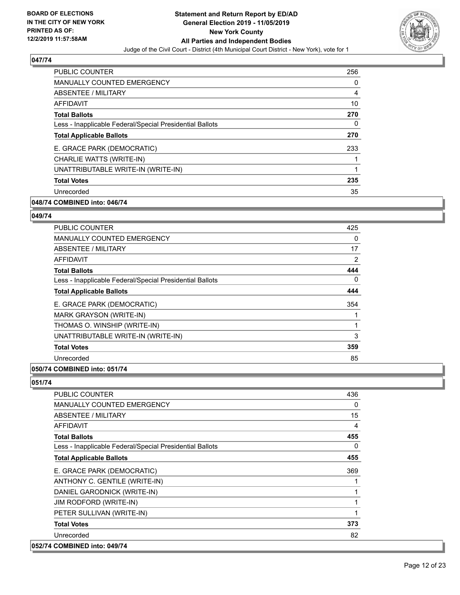

| <b>PUBLIC COUNTER</b>                                    | 256 |
|----------------------------------------------------------|-----|
| <b>MANUALLY COUNTED EMERGENCY</b>                        | 0   |
| ABSENTEE / MILITARY                                      | 4   |
| AFFIDAVIT                                                | 10  |
| <b>Total Ballots</b>                                     | 270 |
| Less - Inapplicable Federal/Special Presidential Ballots | 0   |
| <b>Total Applicable Ballots</b>                          | 270 |
| E. GRACE PARK (DEMOCRATIC)                               | 233 |
| CHARLIE WATTS (WRITE-IN)                                 |     |
| UNATTRIBUTABLE WRITE-IN (WRITE-IN)                       | 1   |
| <b>Total Votes</b>                                       | 235 |
| Unrecorded                                               | 35  |

# **048/74 COMBINED into: 046/74**

#### **049/74**

| <b>PUBLIC COUNTER</b>                                    | 425 |
|----------------------------------------------------------|-----|
| <b>MANUALLY COUNTED EMERGENCY</b>                        | 0   |
| ABSENTEE / MILITARY                                      | 17  |
| AFFIDAVIT                                                | 2   |
| <b>Total Ballots</b>                                     | 444 |
| Less - Inapplicable Federal/Special Presidential Ballots | 0   |
| <b>Total Applicable Ballots</b>                          | 444 |
| E. GRACE PARK (DEMOCRATIC)                               | 354 |
| MARK GRAYSON (WRITE-IN)                                  |     |
| THOMAS O. WINSHIP (WRITE-IN)                             | 1   |
| UNATTRIBUTABLE WRITE-IN (WRITE-IN)                       | 3   |
| <b>Total Votes</b>                                       | 359 |
| Unrecorded                                               | 85  |
| 050/74 COMBINED into: 051/74                             |     |

| <b>PUBLIC COUNTER</b>                                    | 436          |
|----------------------------------------------------------|--------------|
| MANUALLY COUNTED EMERGENCY                               | $\Omega$     |
| ABSENTEE / MILITARY                                      | 15           |
| <b>AFFIDAVIT</b>                                         | 4            |
| <b>Total Ballots</b>                                     | 455          |
| Less - Inapplicable Federal/Special Presidential Ballots | 0            |
| <b>Total Applicable Ballots</b>                          | 455          |
| E. GRACE PARK (DEMOCRATIC)                               | 369          |
| ANTHONY C. GENTILE (WRITE-IN)                            | $\mathbf{1}$ |
| DANIEL GARODNICK (WRITE-IN)                              | 1            |
| JIM RODFORD (WRITE-IN)                                   | 1            |
| PETER SULLIVAN (WRITE-IN)                                | $\mathbf{1}$ |
| <b>Total Votes</b>                                       | 373          |
| Unrecorded                                               | 82           |
| 052/74 COMBINED into: 049/74                             |              |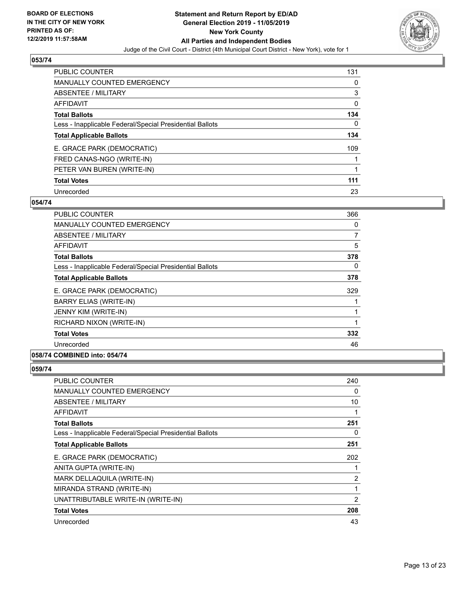

| <b>PUBLIC COUNTER</b>                                    | 131 |
|----------------------------------------------------------|-----|
| <b>MANUALLY COUNTED EMERGENCY</b>                        | 0   |
| ABSENTEE / MILITARY                                      | 3   |
| AFFIDAVIT                                                | 0   |
| <b>Total Ballots</b>                                     | 134 |
| Less - Inapplicable Federal/Special Presidential Ballots | 0   |
| <b>Total Applicable Ballots</b>                          | 134 |
| E. GRACE PARK (DEMOCRATIC)                               | 109 |
| FRED CANAS-NGO (WRITE-IN)                                |     |
| PETER VAN BUREN (WRITE-IN)                               |     |
| <b>Total Votes</b>                                       | 111 |
| Unrecorded                                               | 23  |

#### **054/74**

| PUBLIC COUNTER                                           | 366 |
|----------------------------------------------------------|-----|
| <b>MANUALLY COUNTED EMERGENCY</b>                        | 0   |
| ABSENTEE / MILITARY                                      | 7   |
| AFFIDAVIT                                                | 5   |
| <b>Total Ballots</b>                                     | 378 |
| Less - Inapplicable Federal/Special Presidential Ballots | 0   |
| <b>Total Applicable Ballots</b>                          | 378 |
| E. GRACE PARK (DEMOCRATIC)                               | 329 |
| <b>BARRY ELIAS (WRITE-IN)</b>                            |     |
| JENNY KIM (WRITE-IN)                                     | 1   |
| RICHARD NIXON (WRITE-IN)                                 | 1   |
| <b>Total Votes</b>                                       | 332 |
| Unrecorded                                               | 46  |

# **058/74 COMBINED into: 054/74**

| <b>PUBLIC COUNTER</b>                                    | 240 |
|----------------------------------------------------------|-----|
| <b>MANUALLY COUNTED EMERGENCY</b>                        | 0   |
| ABSENTEE / MILITARY                                      | 10  |
| AFFIDAVIT                                                |     |
| <b>Total Ballots</b>                                     | 251 |
| Less - Inapplicable Federal/Special Presidential Ballots | 0   |
| <b>Total Applicable Ballots</b>                          | 251 |
| E. GRACE PARK (DEMOCRATIC)                               | 202 |
| ANITA GUPTA (WRITE-IN)                                   |     |
| MARK DELLAQUILA (WRITE-IN)                               | 2   |
| MIRANDA STRAND (WRITE-IN)                                | 1   |
| UNATTRIBUTABLE WRITE-IN (WRITE-IN)                       | 2   |
| <b>Total Votes</b>                                       | 208 |
| Unrecorded                                               | 43  |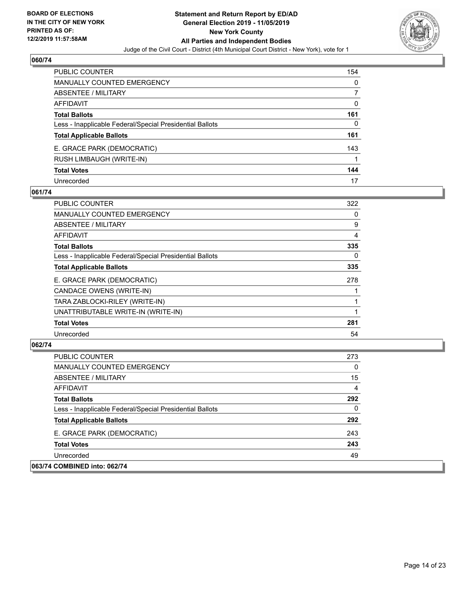

| PUBLIC COUNTER                                           | 154 |
|----------------------------------------------------------|-----|
| <b>MANUALLY COUNTED EMERGENCY</b>                        | 0   |
| ABSENTEE / MILITARY                                      |     |
| AFFIDAVIT                                                | 0   |
| <b>Total Ballots</b>                                     | 161 |
| Less - Inapplicable Federal/Special Presidential Ballots | 0   |
| <b>Total Applicable Ballots</b>                          | 161 |
| E. GRACE PARK (DEMOCRATIC)                               | 143 |
| RUSH LIMBAUGH (WRITE-IN)                                 |     |
| <b>Total Votes</b>                                       | 144 |
| Unrecorded                                               | 17  |

# **061/74**

| <b>PUBLIC COUNTER</b>                                    | 322      |
|----------------------------------------------------------|----------|
| <b>MANUALLY COUNTED EMERGENCY</b>                        | 0        |
| ABSENTEE / MILITARY                                      | 9        |
| <b>AFFIDAVIT</b>                                         | 4        |
| <b>Total Ballots</b>                                     | 335      |
| Less - Inapplicable Federal/Special Presidential Ballots | $\Omega$ |
| <b>Total Applicable Ballots</b>                          | 335      |
| E. GRACE PARK (DEMOCRATIC)                               | 278      |
| CANDACE OWENS (WRITE-IN)                                 |          |
| TARA ZABLOCKI-RILEY (WRITE-IN)                           |          |
| UNATTRIBUTABLE WRITE-IN (WRITE-IN)                       |          |
| <b>Total Votes</b>                                       | 281      |
| Unrecorded                                               | 54       |

| <b>PUBLIC COUNTER</b>                                    | 273          |
|----------------------------------------------------------|--------------|
| <b>MANUALLY COUNTED EMERGENCY</b>                        | $\Omega$     |
| ABSENTEE / MILITARY                                      | 15           |
| AFFIDAVIT                                                | 4            |
| <b>Total Ballots</b>                                     | 292          |
| Less - Inapplicable Federal/Special Presidential Ballots | $\mathbf{0}$ |
| <b>Total Applicable Ballots</b>                          | 292          |
| E. GRACE PARK (DEMOCRATIC)                               | 243          |
| <b>Total Votes</b>                                       | 243          |
| Unrecorded                                               | 49           |
| 063/74 COMBINED into: 062/74                             |              |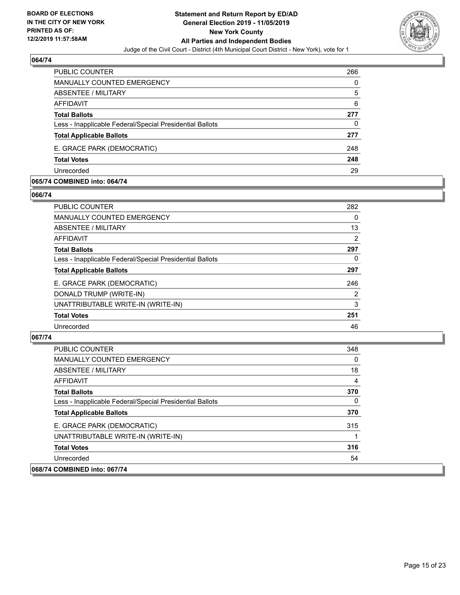

| PUBLIC COUNTER                                           | 266 |
|----------------------------------------------------------|-----|
| MANUALLY COUNTED EMERGENCY                               | 0   |
| <b>ABSENTEE / MILITARY</b>                               | 5   |
| AFFIDAVIT                                                | 6   |
| <b>Total Ballots</b>                                     | 277 |
| Less - Inapplicable Federal/Special Presidential Ballots | 0   |
| <b>Total Applicable Ballots</b>                          | 277 |
| E. GRACE PARK (DEMOCRATIC)                               | 248 |
| <b>Total Votes</b>                                       | 248 |
| Unrecorded                                               | 29  |

#### **065/74 COMBINED into: 064/74**

#### **066/74**

| PUBLIC COUNTER                                           | 282 |
|----------------------------------------------------------|-----|
| <b>MANUALLY COUNTED EMERGENCY</b>                        | 0   |
| ABSENTEE / MILITARY                                      | 13  |
| AFFIDAVIT                                                | 2   |
| <b>Total Ballots</b>                                     | 297 |
| Less - Inapplicable Federal/Special Presidential Ballots | 0   |
| <b>Total Applicable Ballots</b>                          | 297 |
| E. GRACE PARK (DEMOCRATIC)                               | 246 |
| DONALD TRUMP (WRITE-IN)                                  | 2   |
| UNATTRIBUTABLE WRITE-IN (WRITE-IN)                       | 3   |
| <b>Total Votes</b>                                       | 251 |
| Unrecorded                                               | 46  |
|                                                          |     |

| PUBLIC COUNTER                                           | 348 |
|----------------------------------------------------------|-----|
| <b>MANUALLY COUNTED EMERGENCY</b>                        | 0   |
| ABSENTEE / MILITARY                                      | 18  |
| AFFIDAVIT                                                | 4   |
| <b>Total Ballots</b>                                     | 370 |
| Less - Inapplicable Federal/Special Presidential Ballots | 0   |
| <b>Total Applicable Ballots</b>                          | 370 |
| E. GRACE PARK (DEMOCRATIC)                               | 315 |
| UNATTRIBUTABLE WRITE-IN (WRITE-IN)                       |     |
| <b>Total Votes</b>                                       | 316 |
| Unrecorded                                               | 54  |
| 068/74 COMBINED into: 067/74                             |     |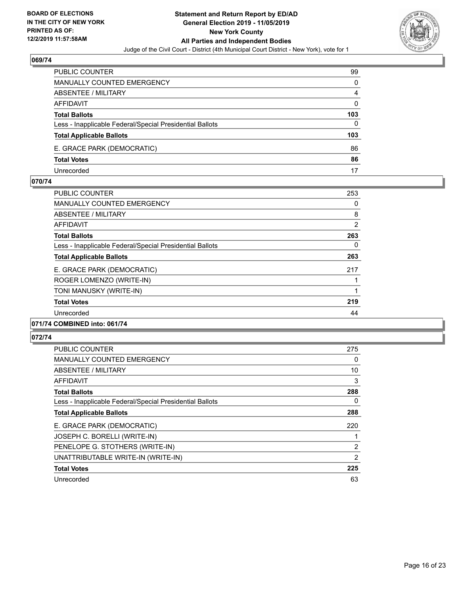

| <b>PUBLIC COUNTER</b>                                    | 99       |
|----------------------------------------------------------|----------|
| MANUALLY COUNTED EMERGENCY                               | $\Omega$ |
| <b>ABSENTEE / MILITARY</b>                               | 4        |
| AFFIDAVIT                                                | $\Omega$ |
| <b>Total Ballots</b>                                     | 103      |
| Less - Inapplicable Federal/Special Presidential Ballots | 0        |
| <b>Total Applicable Ballots</b>                          | 103      |
| E. GRACE PARK (DEMOCRATIC)                               | 86       |
| <b>Total Votes</b>                                       | 86       |
| Unrecorded                                               | 17       |

#### **070/74**

| <b>PUBLIC COUNTER</b>                                    | 253            |
|----------------------------------------------------------|----------------|
| <b>MANUALLY COUNTED EMERGENCY</b>                        | 0              |
| ABSENTEE / MILITARY                                      | 8              |
| AFFIDAVIT                                                | $\overline{2}$ |
| <b>Total Ballots</b>                                     | 263            |
| Less - Inapplicable Federal/Special Presidential Ballots | 0              |
| <b>Total Applicable Ballots</b>                          | 263            |
| E. GRACE PARK (DEMOCRATIC)                               | 217            |
| ROGER LOMENZO (WRITE-IN)                                 |                |
| TONI MANUSKY (WRITE-IN)                                  |                |
| <b>Total Votes</b>                                       | 219            |
| Unrecorded                                               | 44             |
| 071/74 COMBINED into: 061/74                             |                |

| PUBLIC COUNTER                                           | 275            |
|----------------------------------------------------------|----------------|
| <b>MANUALLY COUNTED EMERGENCY</b>                        | 0              |
| ABSENTEE / MILITARY                                      | 10             |
| AFFIDAVIT                                                | 3              |
| <b>Total Ballots</b>                                     | 288            |
| Less - Inapplicable Federal/Special Presidential Ballots | $\Omega$       |
| <b>Total Applicable Ballots</b>                          | 288            |
| E. GRACE PARK (DEMOCRATIC)                               | 220            |
| JOSEPH C. BORELLI (WRITE-IN)                             |                |
| PENELOPE G. STOTHERS (WRITE-IN)                          | 2              |
| UNATTRIBUTABLE WRITE-IN (WRITE-IN)                       | $\overline{2}$ |
| <b>Total Votes</b>                                       | 225            |
| Unrecorded                                               | 63             |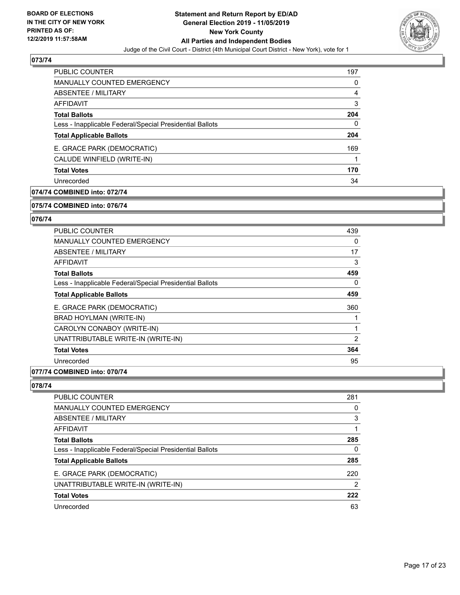

| <b>PUBLIC COUNTER</b>                                    | 197 |
|----------------------------------------------------------|-----|
| <b>MANUALLY COUNTED EMERGENCY</b>                        | 0   |
| ABSENTEE / MILITARY                                      | 4   |
| AFFIDAVIT                                                | 3   |
| <b>Total Ballots</b>                                     | 204 |
| Less - Inapplicable Federal/Special Presidential Ballots | 0   |
| <b>Total Applicable Ballots</b>                          | 204 |
| E. GRACE PARK (DEMOCRATIC)                               | 169 |
| CALUDE WINFIELD (WRITE-IN)                               |     |
| <b>Total Votes</b>                                       | 170 |
| Unrecorded                                               | 34  |

# **074/74 COMBINED into: 072/74**

#### **075/74 COMBINED into: 076/74**

# **076/74**

| <b>PUBLIC COUNTER</b>                                    | 439 |
|----------------------------------------------------------|-----|
| <b>MANUALLY COUNTED EMERGENCY</b>                        | 0   |
| ABSENTEE / MILITARY                                      | 17  |
| AFFIDAVIT                                                | 3   |
| <b>Total Ballots</b>                                     | 459 |
| Less - Inapplicable Federal/Special Presidential Ballots | 0   |
| <b>Total Applicable Ballots</b>                          | 459 |
| E. GRACE PARK (DEMOCRATIC)                               | 360 |
| BRAD HOYLMAN (WRITE-IN)                                  |     |
| CAROLYN CONABOY (WRITE-IN)                               | 1   |
| UNATTRIBUTABLE WRITE-IN (WRITE-IN)                       | 2   |
| <b>Total Votes</b>                                       | 364 |
| Unrecorded                                               | 95  |
|                                                          |     |

# **077/74 COMBINED into: 070/74**

| PUBLIC COUNTER                                           | 281 |
|----------------------------------------------------------|-----|
| <b>MANUALLY COUNTED EMERGENCY</b>                        | 0   |
| <b>ABSENTEE / MILITARY</b>                               | 3   |
| AFFIDAVIT                                                |     |
| <b>Total Ballots</b>                                     | 285 |
| Less - Inapplicable Federal/Special Presidential Ballots | 0   |
| <b>Total Applicable Ballots</b>                          | 285 |
| E. GRACE PARK (DEMOCRATIC)                               | 220 |
| UNATTRIBUTABLE WRITE-IN (WRITE-IN)                       | 2   |
| <b>Total Votes</b>                                       | 222 |
| Unrecorded                                               | 63  |
|                                                          |     |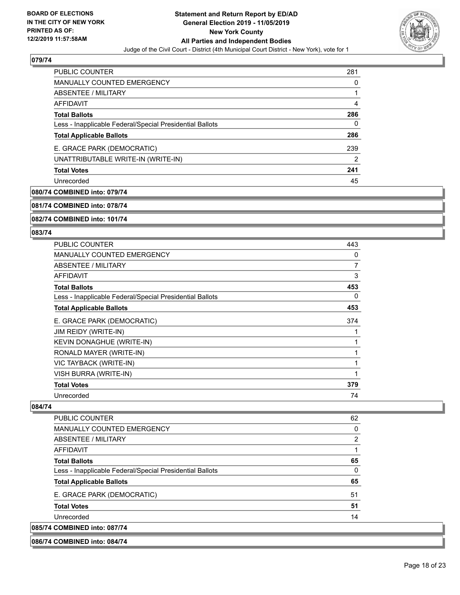

| PUBLIC COUNTER                                           | 281 |
|----------------------------------------------------------|-----|
| <b>MANUALLY COUNTED EMERGENCY</b>                        | O   |
| ABSENTEE / MILITARY                                      |     |
| AFFIDAVIT                                                | 4   |
| <b>Total Ballots</b>                                     | 286 |
| Less - Inapplicable Federal/Special Presidential Ballots | 0   |
| <b>Total Applicable Ballots</b>                          | 286 |
| E. GRACE PARK (DEMOCRATIC)                               | 239 |
| UNATTRIBUTABLE WRITE-IN (WRITE-IN)                       | 2   |
| <b>Total Votes</b>                                       | 241 |
| Unrecorded                                               | 45  |

# **080/74 COMBINED into: 079/74**

**081/74 COMBINED into: 078/74**

**082/74 COMBINED into: 101/74**

#### **083/74**

| PUBLIC COUNTER                                           | 443 |
|----------------------------------------------------------|-----|
| <b>MANUALLY COUNTED EMERGENCY</b>                        | 0   |
| <b>ABSENTEE / MILITARY</b>                               | 7   |
| <b>AFFIDAVIT</b>                                         | 3   |
| <b>Total Ballots</b>                                     | 453 |
| Less - Inapplicable Federal/Special Presidential Ballots | 0   |
| <b>Total Applicable Ballots</b>                          | 453 |
| E. GRACE PARK (DEMOCRATIC)                               | 374 |
| <b>JIM REIDY (WRITE-IN)</b>                              | 1   |
| KEVIN DONAGHUE (WRITE-IN)                                | 1   |
| RONALD MAYER (WRITE-IN)                                  | 1   |
| VIC TAYBACK (WRITE-IN)                                   | 1   |
| VISH BURRA (WRITE-IN)                                    | 1   |
| <b>Total Votes</b>                                       | 379 |
| Unrecorded                                               | 74  |

| PUBLIC COUNTER                                           | 62 |
|----------------------------------------------------------|----|
| MANUALLY COUNTED EMERGENCY                               | 0  |
| ABSENTEE / MILITARY                                      | 2  |
| AFFIDAVIT                                                |    |
| <b>Total Ballots</b>                                     | 65 |
| Less - Inapplicable Federal/Special Presidential Ballots | 0  |
| <b>Total Applicable Ballots</b>                          | 65 |
| E. GRACE PARK (DEMOCRATIC)                               | 51 |
| <b>Total Votes</b>                                       | 51 |
| Unrecorded                                               | 14 |
| 085/74 COMBINED into: 087/74                             |    |
| 086/74 COMBINED into: 084/74                             |    |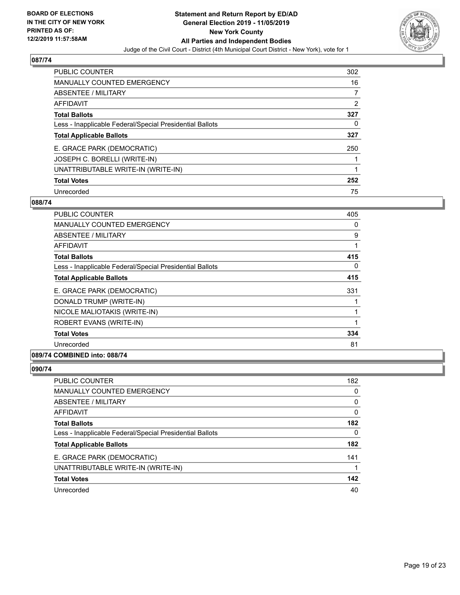

| <b>PUBLIC COUNTER</b>                                    | 302 |
|----------------------------------------------------------|-----|
| <b>MANUALLY COUNTED EMERGENCY</b>                        | 16  |
| ABSENTEE / MILITARY                                      | 7   |
| AFFIDAVIT                                                | 2   |
| <b>Total Ballots</b>                                     | 327 |
| Less - Inapplicable Federal/Special Presidential Ballots | 0   |
| <b>Total Applicable Ballots</b>                          | 327 |
| E. GRACE PARK (DEMOCRATIC)                               | 250 |
| JOSEPH C. BORELLI (WRITE-IN)                             |     |
| UNATTRIBUTABLE WRITE-IN (WRITE-IN)                       |     |
| <b>Total Votes</b>                                       | 252 |
| Unrecorded                                               | 75  |

#### **088/74**

| PUBLIC COUNTER                                           | 405 |
|----------------------------------------------------------|-----|
| <b>MANUALLY COUNTED EMERGENCY</b>                        | 0   |
| ABSENTEE / MILITARY                                      | 9   |
| AFFIDAVIT                                                |     |
| <b>Total Ballots</b>                                     | 415 |
| Less - Inapplicable Federal/Special Presidential Ballots | 0   |
| <b>Total Applicable Ballots</b>                          | 415 |
| E. GRACE PARK (DEMOCRATIC)                               | 331 |
| DONALD TRUMP (WRITE-IN)                                  |     |
| NICOLE MALIOTAKIS (WRITE-IN)                             |     |
| ROBERT EVANS (WRITE-IN)                                  | 1   |
| <b>Total Votes</b>                                       | 334 |
| Unrecorded                                               | 81  |

# **089/74 COMBINED into: 088/74**

| <b>PUBLIC COUNTER</b>                                    | 182      |
|----------------------------------------------------------|----------|
| <b>MANUALLY COUNTED EMERGENCY</b>                        | 0        |
| ABSENTEE / MILITARY                                      | 0        |
| AFFIDAVIT                                                | 0        |
| <b>Total Ballots</b>                                     | 182      |
| Less - Inapplicable Federal/Special Presidential Ballots | $\Omega$ |
| <b>Total Applicable Ballots</b>                          | 182      |
| E. GRACE PARK (DEMOCRATIC)                               | 141      |
| UNATTRIBUTABLE WRITE-IN (WRITE-IN)                       | 1        |
| <b>Total Votes</b>                                       | 142      |
| Unrecorded                                               | 40       |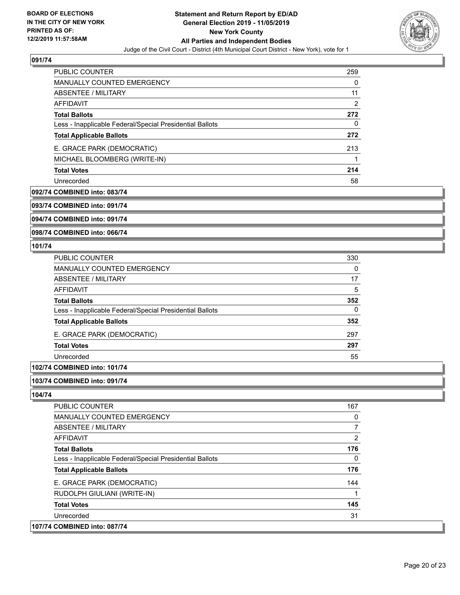

| <b>PUBLIC COUNTER</b>                                    | 259            |
|----------------------------------------------------------|----------------|
| <b>MANUALLY COUNTED EMERGENCY</b>                        | 0              |
| ABSENTEE / MILITARY                                      | 11             |
| AFFIDAVIT                                                | $\overline{2}$ |
| <b>Total Ballots</b>                                     | 272            |
| Less - Inapplicable Federal/Special Presidential Ballots | 0              |
| <b>Total Applicable Ballots</b>                          | 272            |
| E. GRACE PARK (DEMOCRATIC)                               | 213            |
| MICHAEL BLOOMBERG (WRITE-IN)                             |                |
| <b>Total Votes</b>                                       | 214            |
| Unrecorded                                               | 58             |

#### **092/74 COMBINED into: 083/74**

**093/74 COMBINED into: 091/74**

**094/74 COMBINED into: 091/74**

**098/74 COMBINED into: 066/74**

#### **101/74**

| <b>PUBLIC COUNTER</b>                                    | 330 |
|----------------------------------------------------------|-----|
| MANUALLY COUNTED EMERGENCY                               | 0   |
| ABSENTEE / MILITARY                                      | 17  |
| AFFIDAVIT                                                | 5   |
| <b>Total Ballots</b>                                     | 352 |
| Less - Inapplicable Federal/Special Presidential Ballots | 0   |
| <b>Total Applicable Ballots</b>                          | 352 |
| E. GRACE PARK (DEMOCRATIC)                               | 297 |
| <b>Total Votes</b>                                       | 297 |
| Unrecorded                                               | 55  |

# **102/74 COMBINED into: 101/74**

#### **103/74 COMBINED into: 091/74**

| PUBLIC COUNTER                                           | 167 |
|----------------------------------------------------------|-----|
| <b>MANUALLY COUNTED EMERGENCY</b>                        | 0   |
| ABSENTEE / MILITARY                                      | 7   |
| AFFIDAVIT                                                | 2   |
| <b>Total Ballots</b>                                     | 176 |
| Less - Inapplicable Federal/Special Presidential Ballots | 0   |
| <b>Total Applicable Ballots</b>                          | 176 |
| E. GRACE PARK (DEMOCRATIC)                               | 144 |
| RUDOLPH GIULIANI (WRITE-IN)                              |     |
| <b>Total Votes</b>                                       | 145 |
| Unrecorded                                               | 31  |
| 107/74 COMBINED into: 087/74                             |     |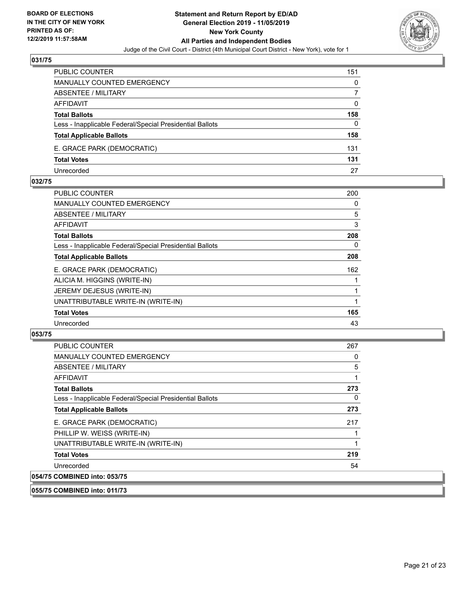

| <b>PUBLIC COUNTER</b>                                    | 151 |
|----------------------------------------------------------|-----|
| <b>MANUALLY COUNTED EMERGENCY</b>                        | 0   |
| <b>ABSENTEE / MILITARY</b>                               |     |
| AFFIDAVIT                                                | 0   |
| <b>Total Ballots</b>                                     | 158 |
| Less - Inapplicable Federal/Special Presidential Ballots | 0   |
| <b>Total Applicable Ballots</b>                          | 158 |
| E. GRACE PARK (DEMOCRATIC)                               | 131 |
| <b>Total Votes</b>                                       | 131 |
| Unrecorded                                               | 27  |

#### **032/75**

| PUBLIC COUNTER                                           | 200      |
|----------------------------------------------------------|----------|
| MANUALLY COUNTED EMERGENCY                               | 0        |
| ABSENTEE / MILITARY                                      | 5        |
| <b>AFFIDAVIT</b>                                         | 3        |
| <b>Total Ballots</b>                                     | 208      |
| Less - Inapplicable Federal/Special Presidential Ballots | $\Omega$ |
| <b>Total Applicable Ballots</b>                          | 208      |
| E. GRACE PARK (DEMOCRATIC)                               | 162      |
| ALICIA M. HIGGINS (WRITE-IN)                             |          |
| JEREMY DEJESUS (WRITE-IN)                                |          |
| UNATTRIBUTABLE WRITE-IN (WRITE-IN)                       |          |
| <b>Total Votes</b>                                       | 165      |
| Unrecorded                                               | 43       |
|                                                          |          |

# **053/75**

| <b>PUBLIC COUNTER</b>                                    | 267 |
|----------------------------------------------------------|-----|
| <b>MANUALLY COUNTED EMERGENCY</b>                        | 0   |
| ABSENTEE / MILITARY                                      | 5   |
| AFFIDAVIT                                                |     |
| <b>Total Ballots</b>                                     | 273 |
| Less - Inapplicable Federal/Special Presidential Ballots | 0   |
| <b>Total Applicable Ballots</b>                          | 273 |
| E. GRACE PARK (DEMOCRATIC)                               | 217 |
| PHILLIP W. WEISS (WRITE-IN)                              |     |
| UNATTRIBUTABLE WRITE-IN (WRITE-IN)                       |     |
| <b>Total Votes</b>                                       | 219 |
| Unrecorded                                               | 54  |
| 054/75 COMBINED into: 053/75                             |     |

**055/75 COMBINED into: 011/73**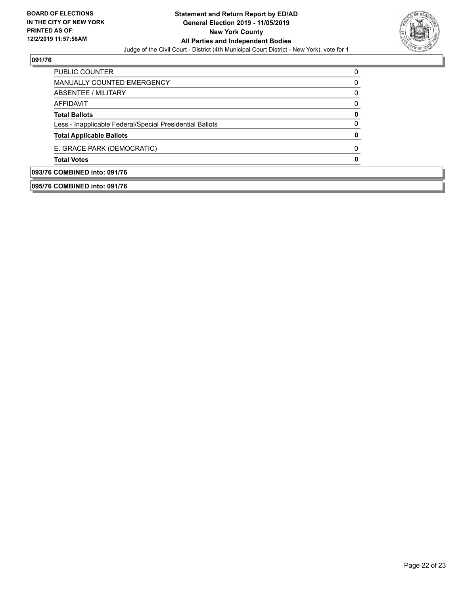

| 093/76 COMBINED into: 091/76                             |   |
|----------------------------------------------------------|---|
| <b>Total Votes</b>                                       |   |
| E. GRACE PARK (DEMOCRATIC)                               | 0 |
| <b>Total Applicable Ballots</b>                          |   |
| Less - Inapplicable Federal/Special Presidential Ballots |   |
| <b>Total Ballots</b>                                     |   |
| AFFIDAVIT                                                |   |
| ABSENTEE / MILITARY                                      | 0 |
| <b>MANUALLY COUNTED EMERGENCY</b>                        | 0 |
| PUBLIC COUNTER                                           |   |

**095/76 COMBINED into: 091/76**